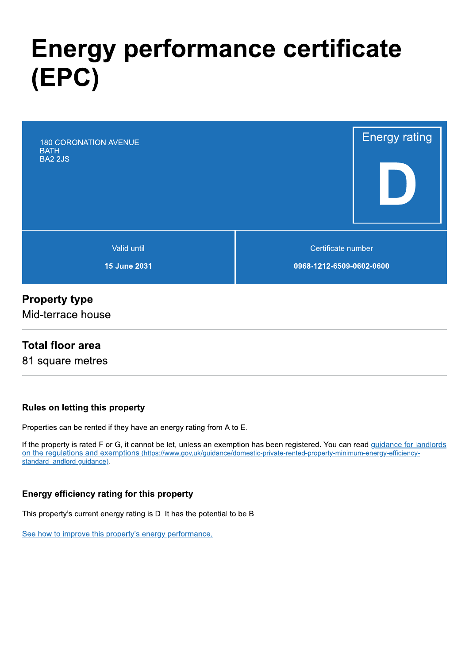# **Energy performance certificate** (EPC)



### **Property type**

Mid-terrace house

### **Total floor area**

81 square metres

### Rules on letting this property

Properties can be rented if they have an energy rating from A to E.

If the property is rated F or G, it cannot be let, unless an exemption has been registered. You can read guidance for landlords on the regulations and exemptions (https://www.gov.uk/guidance/domestic-private-rented-property-minimum-energy-efficiencystandard-landlord-guidance).

### Energy efficiency rating for this property

This property's current energy rating is D. It has the potential to be B.

See how to improve this property's energy performance.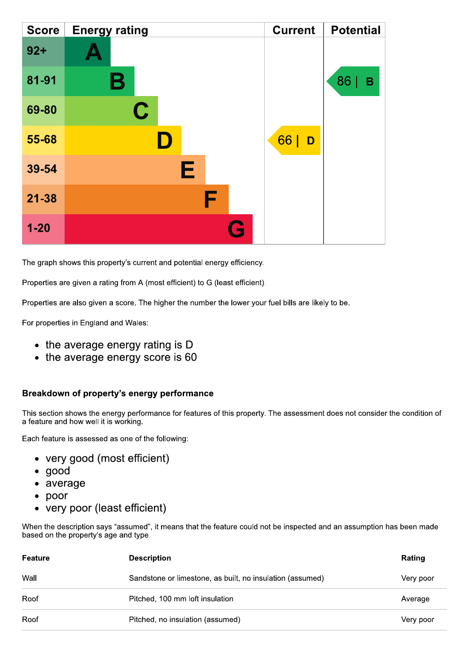| <b>Score</b> | <b>Energy rating</b> | <b>Current</b> | <b>Potential</b> |
|--------------|----------------------|----------------|------------------|
| $92 +$       |                      |                |                  |
| 81-91        | Β                    |                | 86<br>B          |
| 69-80        | $\mathbf C$          |                |                  |
| 55-68        |                      | 66<br>D        |                  |
| 39-54        | Е                    |                |                  |
| $21 - 38$    | F                    |                |                  |
| $1 - 20$     | <b>Ay</b>            |                |                  |

The graph shows this property's current and potential energy efficiency.

Properties are given a rating from A (most efficient) to G (least efficient).

Properties are also given a score. The higher the number the lower your fuel bills are likely to be.

For properties in England and Wales:

- the average energy rating is D
- the average energy score is 60

#### Breakdown of property's energy performance

This section shows the energy performance for features of this property. The assessment does not consider the condition of a feature and how well it is working.

Each feature is assessed as one of the following:

- very good (most efficient)
- $\bullet$  good
- average
- $\bullet$  poor
- very poor (least efficient)

When the description says "assumed", it means that the feature could not be inspected and an assumption has been made based on the property's age and type.

| Feature | <b>Description</b>                                        | Rating    |
|---------|-----------------------------------------------------------|-----------|
| Wall    | Sandstone or limestone, as built, no insulation (assumed) | Very poor |
| Roof    | Pitched, 100 mm loft insulation                           | Average   |
| Roof    | Pitched, no insulation (assumed)                          | Very poor |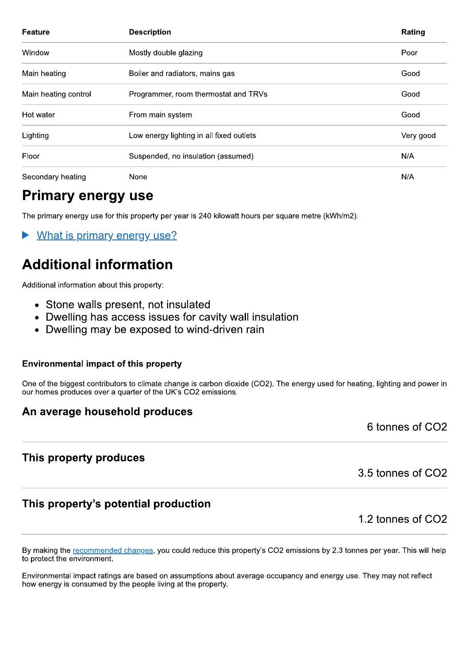| Feature              | <b>Description</b>                       | Rating    |
|----------------------|------------------------------------------|-----------|
| Window               | Mostly double glazing                    | Poor      |
| Main heating         | Boiler and radiators, mains gas          | Good      |
| Main heating control | Programmer, room thermostat and TRVs     | Good      |
| Hot water            | From main system                         | Good      |
| Lighting             | Low energy lighting in all fixed outlets | Very good |
| Floor                | Suspended, no insulation (assumed)       | N/A       |
| Secondary heating    | None                                     | N/A       |

### **Primary energy use**

The primary energy use for this property per year is 240 kilowatt hours per square metre (kWh/m2).

What is primary energy use?

# **Additional information**

Additional information about this property:

- Stone walls present, not insulated
- Dwelling has access issues for cavity wall insulation
- Dwelling may be exposed to wind-driven rain

#### **Environmental impact of this property**

One of the biggest contributors to climate change is carbon dioxide (CO2). The energy used for heating, lighting and power in our homes produces over a quarter of the UK's CO2 emissions.

### An average household produces

This property produces

3.5 tonnes of CO2

6 tonnes of CO<sub>2</sub>

### This property's potential production

1.2 tonnes of CO2

By making the recommended changes, you could reduce this property's CO2 emissions by 2.3 tonnes per year. This will help to protect the environment.

Environmental impact ratings are based on assumptions about average occupancy and energy use. They may not reflect how energy is consumed by the people living at the property.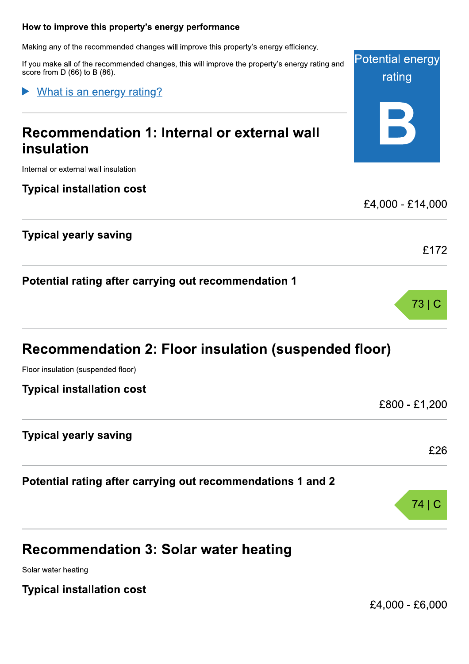#### How to improve this property's energy performance

Making any of the recommended changes will improve this property's energy efficiency.

If you make all of the recommended changes, this will improve the property's energy rating and score from  $D(66)$  to  $B(86)$ .

What is an energy rating?

# Recommendation 1: Internal or external wall insulation

Internal or external wall insulation

### **Typical installation cost**

### **Typical yearly saving**

Potential rating after carrying out recommendation 1

# **Recommendation 2: Floor insulation (suspended floor)**

Floor insulation (suspended floor)

### **Typical yearly saving**

Potential rating after carrying out recommendations 1 and 2

### **Recommendation 3: Solar water heating**

Solar water heating

### **Typical installation cost**

£4,000 - £6,000

 $74|C$ 



Potential energy rating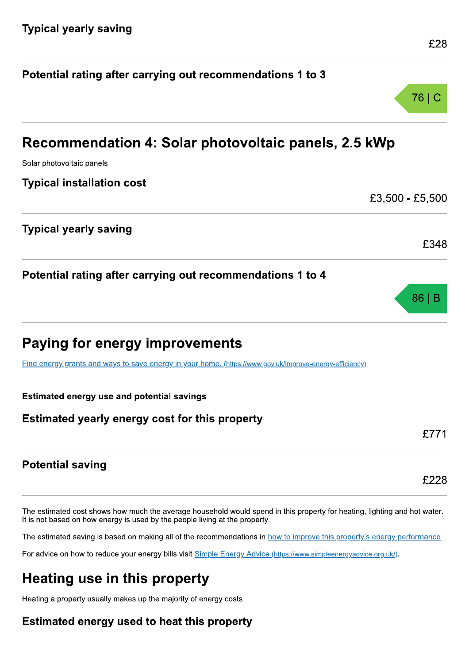| <b>Estimated yearly energy cost for this property</b>                                                   | £771            |
|---------------------------------------------------------------------------------------------------------|-----------------|
| <b>Estimated energy use and potential savings</b>                                                       |                 |
| Find energy grants and ways to save energy in your home. (https://www.gov.uk/improve-energy-efficiency) |                 |
| <b>Paying for energy improvements</b>                                                                   |                 |
| Potential rating after carrying out recommendations 1 to 4                                              | 86 B            |
|                                                                                                         | £348            |
| <b>Typical yearly saving</b>                                                                            |                 |
| <b>Typical installation cost</b>                                                                        | £3,500 - £5,500 |
| Solar photovoltaic panels                                                                               |                 |
| Recommendation 4: Solar photovoltaic panels, 2.5 kWp                                                    |                 |

Potential rating after carrying out recommendations 1 to 3

### **Potential saving**

The estimated cost shows how much the average household would spend in this property for heating, lighting and hot water. It is not based on how energy is used by the people living at the property.

The estimated saving is based on making all of the recommendations in how to improve this property's energy performance.

For advice on how to reduce your energy bills visit Simple Energy Advice (https://www.simpleenergyadvice.org.uk/).

# **Heating use in this property**

Heating a property usually makes up the majority of energy costs.

### Estimated energy used to heat this property

£28

£228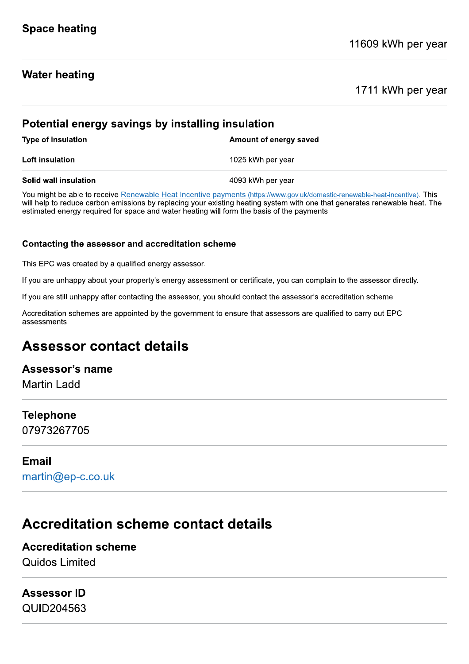### **Water heating**

### 1711 kWh per year

| Potential energy savings by installing insulation |                        |  |  |  |
|---------------------------------------------------|------------------------|--|--|--|
| <b>Type of insulation</b>                         | Amount of energy saved |  |  |  |
| Loft insulation                                   | 1025 kWh per year      |  |  |  |
| <b>Solid wall insulation</b>                      | 4093 kWh per year      |  |  |  |

You might be able to receive Renewable Heat Incentive payments (https://www.gov.uk/domestic-renewable-heat-incentive). This will help to reduce carbon emissions by replacing your existing heating system with one that generates renewable heat. The estimated energy required for space and water heating will form the basis of the payments.

#### Contacting the assessor and accreditation scheme

This EPC was created by a qualified energy assessor.

If you are unhappy about your property's energy assessment or certificate, you can complain to the assessor directly.

If you are still unhappy after contacting the assessor, you should contact the assessor's accreditation scheme.

Accreditation schemes are appointed by the government to ensure that assessors are qualified to carry out EPC assessments.

### **Assessor contact details**

### Assessor's name

**Martin Ladd** 

### **Telephone**

07973267705

### **Email**

martin@ep-c.co.uk

### **Accreditation scheme contact details**

### **Accreditation scheme** Quidos Limited

### **Assessor ID**

QUID204563